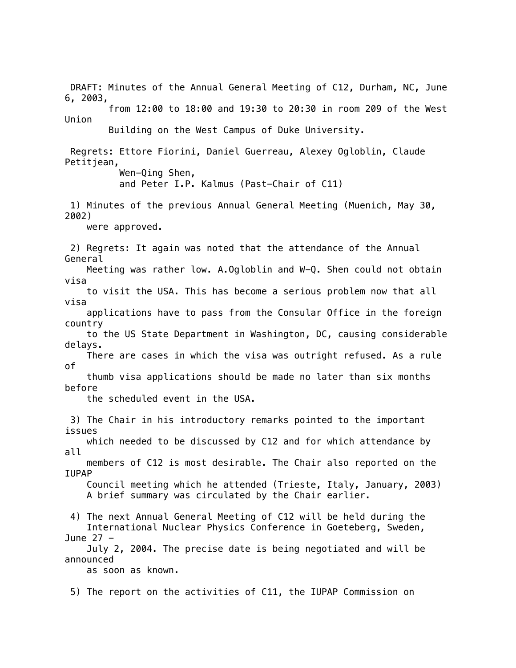DRAFT: Minutes of the Annual General Meeting of C12, Durham, NC, June 6, 2003, from 12:00 to 18:00 and 19:30 to 20:30 in room 209 of the West Union Building on the West Campus of Duke University. Regrets: Ettore Fiorini, Daniel Guerreau, Alexey Ogloblin, Claude Petitjean, Wen-Qing Shen, and Peter I.P. Kalmus (Past-Chair of C11) 1) Minutes of the previous Annual General Meeting (Muenich, May 30, 2002) were approved. 2) Regrets: It again was noted that the attendance of the Annual General Meeting was rather low. A.Ogloblin and W-Q. Shen could not obtain visa to visit the USA. This has become a serious problem now that all visa applications have to pass from the Consular Office in the foreign country to the US State Department in Washington, DC, causing considerable delays. There are cases in which the visa was outright refused. As a rule of thumb visa applications should be made no later than six months before the scheduled event in the USA. 3) The Chair in his introductory remarks pointed to the important issues which needed to be discussed by C12 and for which attendance by all members of C12 is most desirable. The Chair also reported on the IUPAP Council meeting which he attended (Trieste, Italy, January, 2003) A brief summary was circulated by the Chair earlier. 4) The next Annual General Meeting of C12 will be held during the International Nuclear Physics Conference in Goeteberg, Sweden, June 27 - July 2, 2004. The precise date is being negotiated and will be announced as soon as known. 5) The report on the activities of C11, the IUPAP Commission on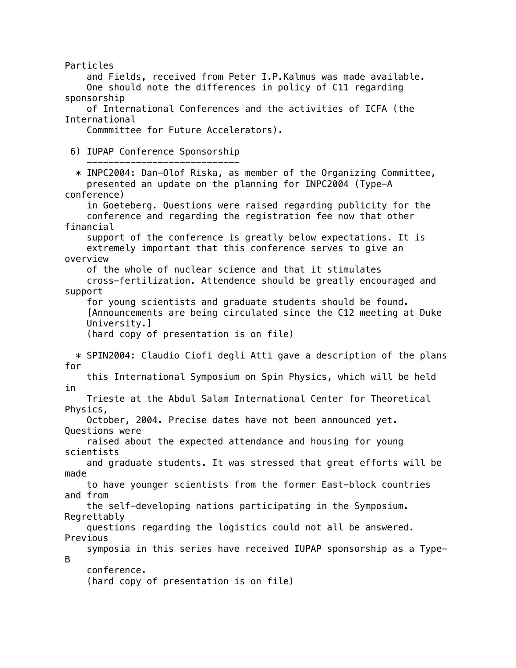Particles and Fields, received from Peter I.P.Kalmus was made available. One should note the differences in policy of C11 regarding sponsorship of International Conferences and the activities of ICFA (the International Commmittee for Future Accelerators). 6) IUPAP Conference Sponsorship ----------------------------  $*$  INPC2004: Dan-Olof Riska, as member of the Organizing Committee, presented an update on the planning for INPC2004 (Type-A conference) in Goeteberg. Questions were raised regarding publicity for the conference and regarding the registration fee now that other financial support of the conference is greatly below expectations. It is extremely important that this conference serves to give an overview of the whole of nuclear science and that it stimulates cross-fertilization. Attendence should be greatly encouraged and support for young scientists and graduate students should be found. [Announcements are being circulated since the C12 meeting at Duke University.] (hard copy of presentation is on file) \* SPIN2004: Claudio Ciofi degli Atti gave a description of the plans for this International Symposium on Spin Physics, which will be held in Trieste at the Abdul Salam International Center for Theoretical Physics, October, 2004. Precise dates have not been announced yet. Questions were raised about the expected attendance and housing for young scientists and graduate students. It was stressed that great efforts will be made to have younger scientists from the former East-block countries and from the self-developing nations participating in the Symposium. Regrettably questions regarding the logistics could not all be answered. Previous symposia in this series have received IUPAP sponsorship as a Type-B conference. (hard copy of presentation is on file)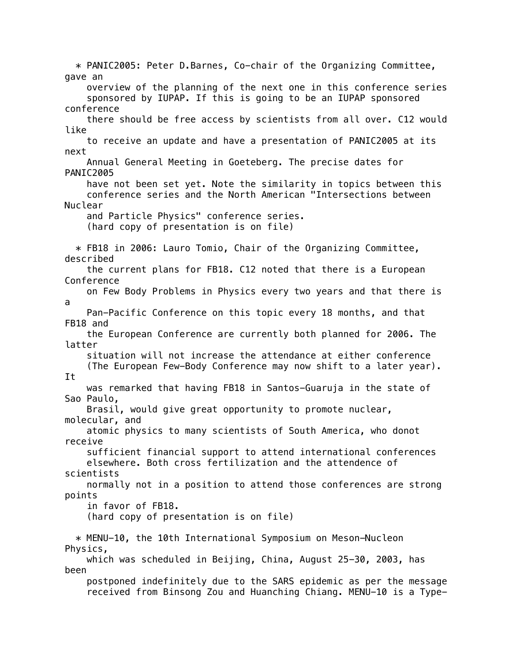\* PANIC2005: Peter D.Barnes, Co-chair of the Organizing Committee, gave an overview of the planning of the next one in this conference series sponsored by IUPAP. If this is going to be an IUPAP sponsored conference there should be free access by scientists from all over. C12 would like to receive an update and have a presentation of PANIC2005 at its next Annual General Meeting in Goeteberg. The precise dates for PANIC2005 have not been set yet. Note the similarity in topics between this conference series and the North American "Intersections between Nuclear and Particle Physics" conference series. (hard copy of presentation is on file) \* FB18 in 2006: Lauro Tomio, Chair of the Organizing Committee, described the current plans for FB18. C12 noted that there is a European Conference on Few Body Problems in Physics every two years and that there is a Pan-Pacific Conference on this topic every 18 months, and that FB18 and the European Conference are currently both planned for 2006. The latter situation will not increase the attendance at either conference (The European Few-Body Conference may now shift to a later year). It was remarked that having FB18 in Santos-Guaruja in the state of Sao Paulo, Brasil, would give great opportunity to promote nuclear, molecular, and atomic physics to many scientists of South America, who donot receive sufficient financial support to attend international conferences elsewhere. Both cross fertilization and the attendence of scientists normally not in a position to attend those conferences are strong points in favor of FB18. (hard copy of presentation is on file) \* MENU-10, the 10th International Symposium on Meson-Nucleon Physics, which was scheduled in Beijing, China, August 25-30, 2003, has been postponed indefinitely due to the SARS epidemic as per the message received from Binsong Zou and Huanching Chiang. MENU-10 is a Type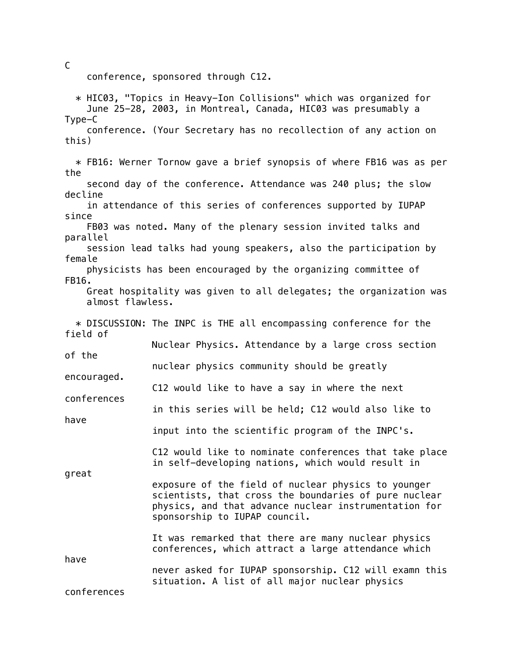conference, sponsored through C12.

 \* HIC03, "Topics in Heavy-Ion Collisions" which was organized for June 25-28, 2003, in Montreal, Canada, HIC03 was presumably a Type-C conference. (Your Secretary has no recollection of any action on this) \* FB16: Werner Tornow gave a brief synopsis of where FB16 was as per the second day of the conference. Attendance was 240 plus; the slow decline in attendance of this series of conferences supported by IUPAP since FB03 was noted. Many of the plenary session invited talks and parallel session lead talks had young speakers, also the participation by female physicists has been encouraged by the organizing committee of FB16. Great hospitality was given to all delegates; the organization was almost flawless. \* DISCUSSION: The INPC is THE all encompassing conference for the field of Nuclear Physics. Attendance by a large cross section of the nuclear physics community should be greatly encouraged. C12 would like to have a say in where the next conferences in this series will be held; C12 would also like to have input into the scientific program of the INPC's. C12 would like to nominate conferences that take place in self-developing nations, which would result in great exposure of the field of nuclear physics to younger scientists, that cross the boundaries of pure nuclear physics, and that advance nuclear instrumentation for sponsorship to IUPAP council. It was remarked that there are many nuclear physics conferences, which attract a large attendance which have never asked for IUPAP sponsorship. C12 will examn this situation. A list of all major nuclear physics conferences

C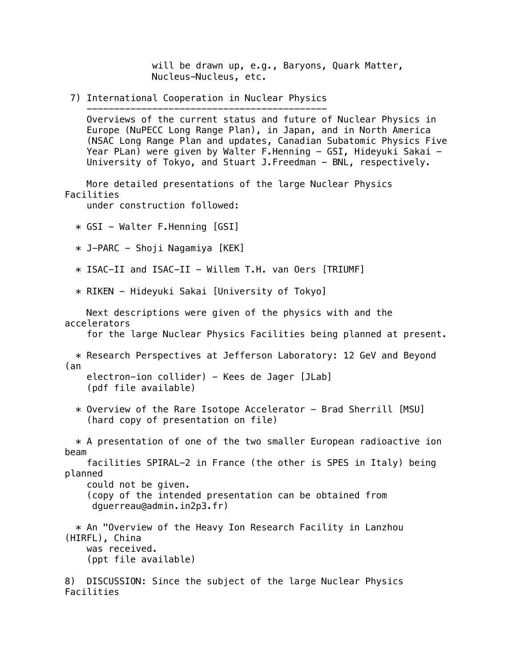will be drawn up, e.g., Baryons, Quark Matter, Nucleus-Nucleus, etc.

 7) International Cooperation in Nuclear Physics --------------------------------------------

 Overviews of the current status and future of Nuclear Physics in Europe (NuPECC Long Range Plan), in Japan, and in North America (NSAC Long Range Plan and updates, Canadian Subatomic Physics Five Year PLan) were given by Walter F.Henning - GSI, Hideyuki Sakai -University of Tokyo, and Stuart J.Freedman - BNL, respectively.

 More detailed presentations of the large Nuclear Physics Facilities

under construction followed:

\* GSI - Walter F.Henning [GSI]

\* J-PARC - Shoji Nagamiya [KEK]

\* ISAC-II and ISAC-II - Willem T.H. van Oers [TRIUMF]

\* RIKEN - Hideyuki Sakai [University of Tokyo]

 Next descriptions were given of the physics with and the accelerators for the large Nuclear Physics Facilities being planned at present. \* Research Perspectives at Jefferson Laboratory: 12 GeV and Beyond (an electron-ion collider) - Kees de Jager [JLab] (pdf file available) \* Overview of the Rare Isotope Accelerator - Brad Sherrill [MSU] (hard copy of presentation on file) \* A presentation of one of the two smaller European radioactive ion beam facilities SPIRAL-2 in France (the other is SPES in Italy) being planned could not be given. (copy of the intended presentation can be obtained from dguerreau@admin.in2p3.fr) \* An "Overview of the Heavy Ion Research Facility in Lanzhou (HIRFL), China was received. (ppt file available)

8) DISCUSSION: Since the subject of the large Nuclear Physics Facilities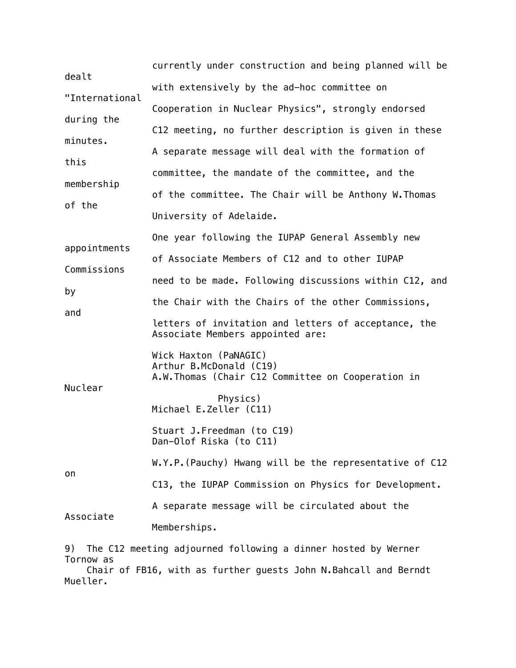| dealt                                                                                                                                         | currently under construction and being planned will be                                                 |
|-----------------------------------------------------------------------------------------------------------------------------------------------|--------------------------------------------------------------------------------------------------------|
|                                                                                                                                               | with extensively by the ad-hoc committee on                                                            |
| "International                                                                                                                                | Cooperation in Nuclear Physics", strongly endorsed                                                     |
| during the                                                                                                                                    | C12 meeting, no further description is given in these                                                  |
| minutes.                                                                                                                                      | A separate message will deal with the formation of                                                     |
| this                                                                                                                                          | committee, the mandate of the committee, and the                                                       |
| membership<br>of the                                                                                                                          | of the committee. The Chair will be Anthony W. Thomas                                                  |
|                                                                                                                                               | University of Adelaide.                                                                                |
|                                                                                                                                               | One year following the IUPAP General Assembly new                                                      |
| appointments                                                                                                                                  | of Associate Members of C12 and to other IUPAP                                                         |
| Commissions                                                                                                                                   | need to be made. Following discussions within C12, and                                                 |
| by                                                                                                                                            | the Chair with the Chairs of the other Commissions,                                                    |
| and                                                                                                                                           | letters of invitation and letters of acceptance, the<br>Associate Members appointed are:               |
| Nuclear                                                                                                                                       | Wick Haxton (PaNAGIC)<br>Arthur B.McDonald (C19)<br>A.W. Thomas (Chair C12 Committee on Cooperation in |
|                                                                                                                                               | Physics)<br>Michael E.Zeller (C11)                                                                     |
|                                                                                                                                               | Stuart J. Freedman (to C19)<br>Dan-Olof Riska (to C11)                                                 |
| on                                                                                                                                            | W.Y.P. (Pauchy) Hwang will be the representative of C12                                                |
|                                                                                                                                               | C13, the IUPAP Commission on Physics for Development.                                                  |
| Associate                                                                                                                                     | A separate message will be circulated about the                                                        |
|                                                                                                                                               | Memberships.                                                                                           |
| 9)<br>The C12 meeting adjourned following a dinner hosted by Werner<br>Tornow as<br>of FD16, uith no funthor guests John N Doheall and Demodt |                                                                                                        |

 Chair of FB16, with as further guests John N.Bahcall and Berndt Mueller.